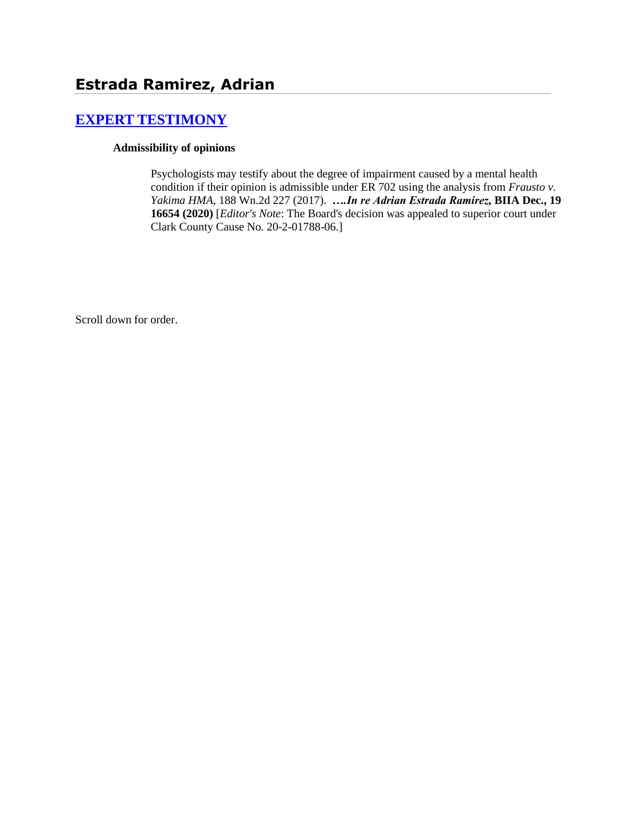# **[EXPERT TESTIMONY](http://www.biia.wa.gov/SDSubjectIndex.html#EXPERT_TESTIMONY)**

#### **Admissibility of opinions**

Psychologists may testify about the degree of impairment caused by a mental health condition if their opinion is admissible under ER 702 using the analysis from *Frausto v. Yakima HMA*, 188 Wn.2d 227 (2017). *….In re Adrian Estrada Ramirez,* **BIIA Dec., 19 16654 (2020)** [*Editor's Note*: The Board's decision was appealed to superior court under Clark County Cause No. 20-2-01788-06.]

Scroll down for order.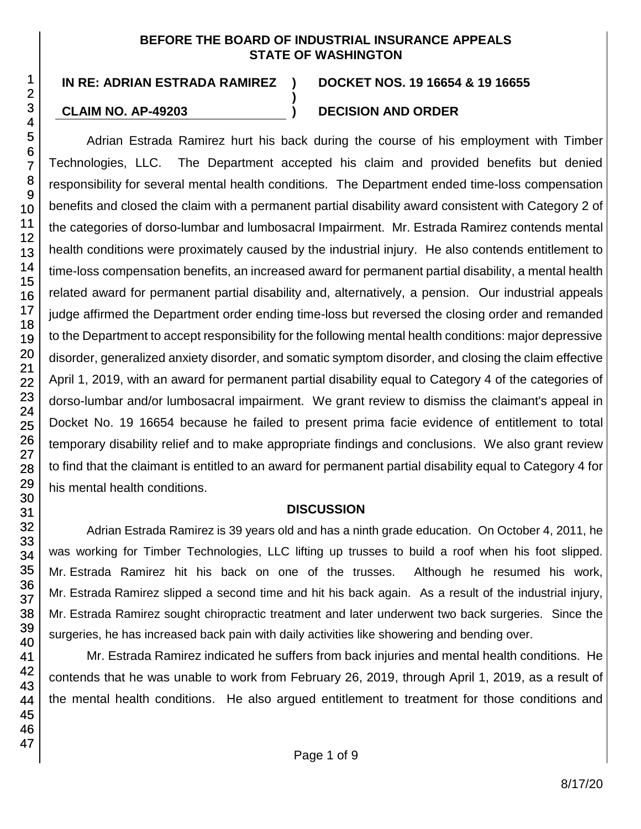#### **BEFORE THE BOARD OF INDUSTRIAL INSURANCE APPEALS STATE OF WASHINGTON**

**)**

#### **IN RE: ADRIAN ESTRADA RAMIREZ ) DOCKET NOS. 19 16654 & 19 16655**

## **CLAIM NO. AP-49203 ) DECISION AND ORDER**

Adrian Estrada Ramirez hurt his back during the course of his employment with Timber Technologies, LLC. The Department accepted his claim and provided benefits but denied responsibility for several mental health conditions. The Department ended time-loss compensation benefits and closed the claim with a permanent partial disability award consistent with Category 2 of the categories of dorso-lumbar and lumbosacral Impairment. Mr. Estrada Ramirez contends mental health conditions were proximately caused by the industrial injury. He also contends entitlement to time-loss compensation benefits, an increased award for permanent partial disability, a mental health related award for permanent partial disability and, alternatively, a pension. Our industrial appeals judge affirmed the Department order ending time-loss but reversed the closing order and remanded to the Department to accept responsibility for the following mental health conditions: major depressive disorder, generalized anxiety disorder, and somatic symptom disorder, and closing the claim effective April 1, 2019, with an award for permanent partial disability equal to Category 4 of the categories of dorso-lumbar and/or lumbosacral impairment. We grant review to dismiss the claimant's appeal in Docket No. 19 16654 because he failed to present prima facie evidence of entitlement to total temporary disability relief and to make appropriate findings and conclusions. We also grant review to find that the claimant is entitled to an award for permanent partial disability equal to Category 4 for his mental health conditions.

#### **DISCUSSION**

Adrian Estrada Ramirez is 39 years old and has a ninth grade education. On October 4, 2011, he was working for Timber Technologies, LLC lifting up trusses to build a roof when his foot slipped. Mr. Estrada Ramirez hit his back on one of the trusses. Although he resumed his work, Mr. Estrada Ramirez slipped a second time and hit his back again. As a result of the industrial injury, Mr. Estrada Ramirez sought chiropractic treatment and later underwent two back surgeries. Since the surgeries, he has increased back pain with daily activities like showering and bending over.

Mr. Estrada Ramirez indicated he suffers from back injuries and mental health conditions. He contends that he was unable to work from February 26, 2019, through April 1, 2019, as a result of the mental health conditions. He also argued entitlement to treatment for those conditions and

1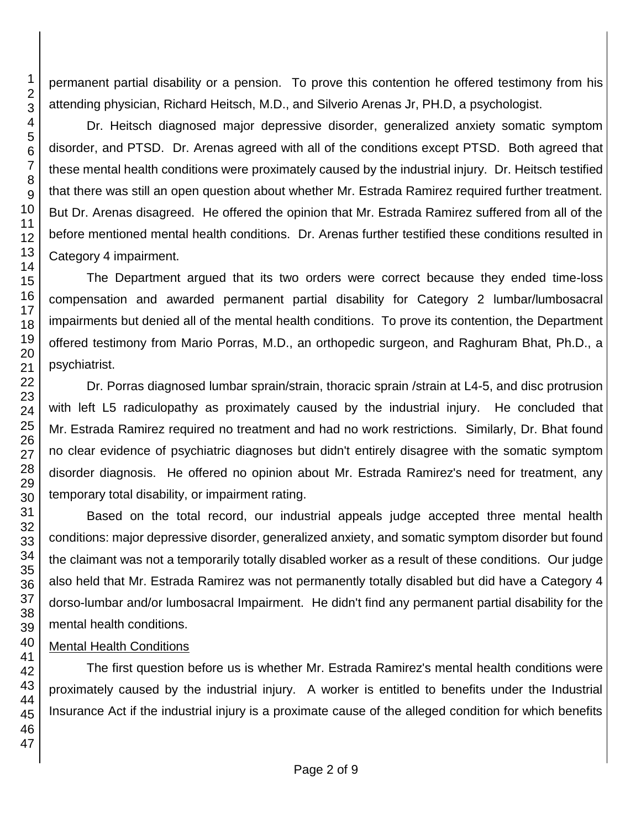permanent partial disability or a pension. To prove this contention he offered testimony from his attending physician, Richard Heitsch, M.D., and Silverio Arenas Jr, PH.D, a psychologist.

Dr. Heitsch diagnosed major depressive disorder, generalized anxiety somatic symptom disorder, and PTSD. Dr. Arenas agreed with all of the conditions except PTSD. Both agreed that these mental health conditions were proximately caused by the industrial injury. Dr. Heitsch testified that there was still an open question about whether Mr. Estrada Ramirez required further treatment. But Dr. Arenas disagreed. He offered the opinion that Mr. Estrada Ramirez suffered from all of the before mentioned mental health conditions. Dr. Arenas further testified these conditions resulted in Category 4 impairment.

The Department argued that its two orders were correct because they ended time-loss compensation and awarded permanent partial disability for Category 2 lumbar/lumbosacral impairments but denied all of the mental health conditions. To prove its contention, the Department offered testimony from Mario Porras, M.D., an orthopedic surgeon, and Raghuram Bhat, Ph.D., a psychiatrist.

Dr. Porras diagnosed lumbar sprain/strain, thoracic sprain /strain at L4-5, and disc protrusion with left L5 radiculopathy as proximately caused by the industrial injury. He concluded that Mr. Estrada Ramirez required no treatment and had no work restrictions. Similarly, Dr. Bhat found no clear evidence of psychiatric diagnoses but didn't entirely disagree with the somatic symptom disorder diagnosis. He offered no opinion about Mr. Estrada Ramirez's need for treatment, any temporary total disability, or impairment rating.

Based on the total record, our industrial appeals judge accepted three mental health conditions: major depressive disorder, generalized anxiety, and somatic symptom disorder but found the claimant was not a temporarily totally disabled worker as a result of these conditions. Our judge also held that Mr. Estrada Ramirez was not permanently totally disabled but did have a Category 4 dorso-lumbar and/or lumbosacral Impairment. He didn't find any permanent partial disability for the mental health conditions.

#### Mental Health Conditions

The first question before us is whether Mr. Estrada Ramirez's mental health conditions were proximately caused by the industrial injury. A worker is entitled to benefits under the Industrial Insurance Act if the industrial injury is a proximate cause of the alleged condition for which benefits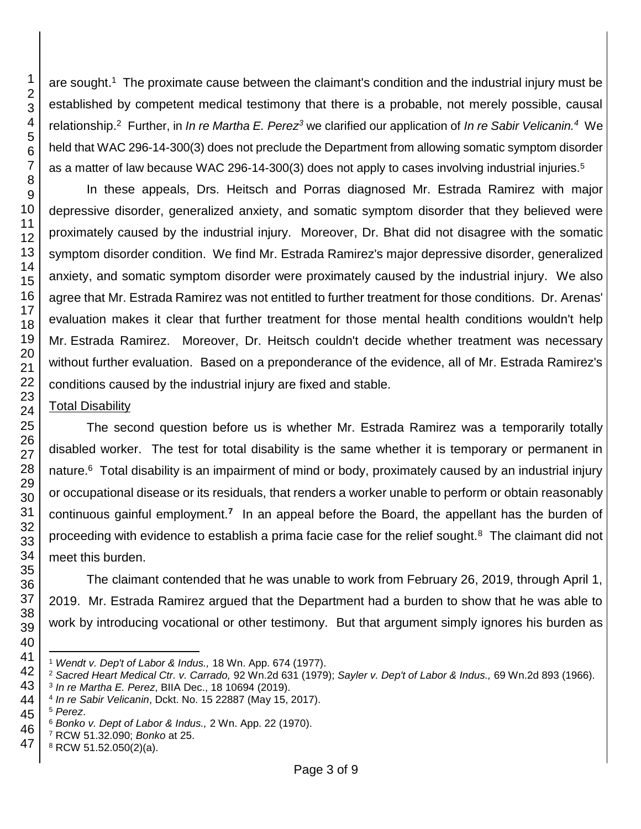are sought.<sup>1</sup> The proximate cause between the claimant's condition and the industrial injury must be established by competent medical testimony that there is a probable, not merely possible, causal relationship.<sup>2</sup> Further, in *In re Martha E. Perez<sup>3</sup>* we clarified our application of *In re Sabir Velicanin.<sup>4</sup>* We held that WAC 296-14-300(3) does not preclude the Department from allowing somatic symptom disorder as a matter of law because WAC 296-14-300(3) does not apply to cases involving industrial injuries.<sup>5</sup>

In these appeals, Drs. Heitsch and Porras diagnosed Mr. Estrada Ramirez with major depressive disorder, generalized anxiety, and somatic symptom disorder that they believed were proximately caused by the industrial injury. Moreover, Dr. Bhat did not disagree with the somatic symptom disorder condition. We find Mr. Estrada Ramirez's major depressive disorder, generalized anxiety, and somatic symptom disorder were proximately caused by the industrial injury. We also agree that Mr. Estrada Ramirez was not entitled to further treatment for those conditions. Dr. Arenas' evaluation makes it clear that further treatment for those mental health conditions wouldn't help Mr. Estrada Ramirez. Moreover, Dr. Heitsch couldn't decide whether treatment was necessary without further evaluation. Based on a preponderance of the evidence, all of Mr. Estrada Ramirez's conditions caused by the industrial injury are fixed and stable.

## Total Disability

The second question before us is whether Mr. Estrada Ramirez was a temporarily totally disabled worker. The test for total disability is the same whether it is temporary or permanent in nature.<sup>6</sup> Total disability is an impairment of mind or body, proximately caused by an industrial injury or occupational disease or its residuals, that renders a worker unable to perform or obtain reasonably continuous gainful employment.**<sup>7</sup>** In an appeal before the Board, the appellant has the burden of proceeding with evidence to establish a prima facie case for the relief sought.<sup>8</sup> The claimant did not meet this burden.

The claimant contended that he was unable to work from February 26, 2019, through April 1, 2019. Mr. Estrada Ramirez argued that the Department had a burden to show that he was able to work by introducing vocational or other testimony. But that argument simply ignores his burden as

l

 

*Wendt v. Dep't of Labor & Indus.,* 18 Wn. App. 674 (1977).

*Sacred Heart Medical Ctr. v. Carrado,* 92 Wn.2d 631 (1979); *Sayler v. Dep't of Labor & Indus.,* 69 Wn.2d 893 (1966).

*In re Martha E. Perez*, BIIA Dec., 18 10694 (2019).

*In re Sabir Velicanin*, Dckt. No. 15 22887 (May 15, 2017).

*Perez*.

*Bonko v. Dept of Labor & Indus.,* 2 Wn. App. 22 (1970).

RCW 51.32.090; *Bonko* at 25.

RCW 51.52.050(2)(a).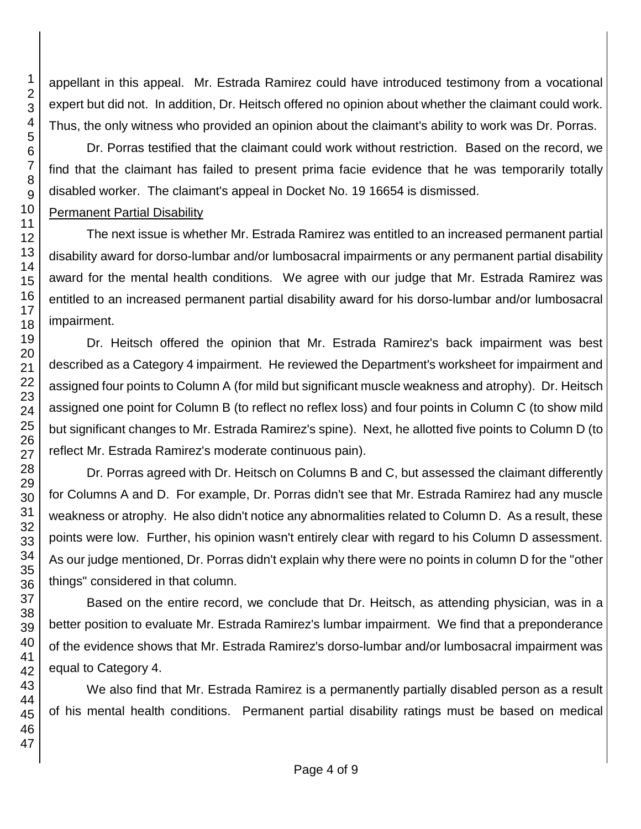appellant in this appeal. Mr. Estrada Ramirez could have introduced testimony from a vocational expert but did not. In addition, Dr. Heitsch offered no opinion about whether the claimant could work. Thus, the only witness who provided an opinion about the claimant's ability to work was Dr. Porras.

Dr. Porras testified that the claimant could work without restriction. Based on the record, we find that the claimant has failed to present prima facie evidence that he was temporarily totally disabled worker. The claimant's appeal in Docket No. 19 16654 is dismissed.

## Permanent Partial Disability

The next issue is whether Mr. Estrada Ramirez was entitled to an increased permanent partial disability award for dorso-lumbar and/or lumbosacral impairments or any permanent partial disability award for the mental health conditions. We agree with our judge that Mr. Estrada Ramirez was entitled to an increased permanent partial disability award for his dorso-lumbar and/or lumbosacral impairment.

Dr. Heitsch offered the opinion that Mr. Estrada Ramirez's back impairment was best described as a Category 4 impairment. He reviewed the Department's worksheet for impairment and assigned four points to Column A (for mild but significant muscle weakness and atrophy). Dr. Heitsch assigned one point for Column B (to reflect no reflex loss) and four points in Column C (to show mild but significant changes to Mr. Estrada Ramirez's spine). Next, he allotted five points to Column D (to reflect Mr. Estrada Ramirez's moderate continuous pain).

Dr. Porras agreed with Dr. Heitsch on Columns B and C, but assessed the claimant differently for Columns A and D. For example, Dr. Porras didn't see that Mr. Estrada Ramirez had any muscle weakness or atrophy. He also didn't notice any abnormalities related to Column D. As a result, these points were low. Further, his opinion wasn't entirely clear with regard to his Column D assessment. As our judge mentioned, Dr. Porras didn't explain why there were no points in column D for the "other things" considered in that column.

Based on the entire record, we conclude that Dr. Heitsch, as attending physician, was in a better position to evaluate Mr. Estrada Ramirez's lumbar impairment. We find that a preponderance of the evidence shows that Mr. Estrada Ramirez's dorso-lumbar and/or lumbosacral impairment was equal to Category 4.

We also find that Mr. Estrada Ramirez is a permanently partially disabled person as a result of his mental health conditions. Permanent partial disability ratings must be based on medical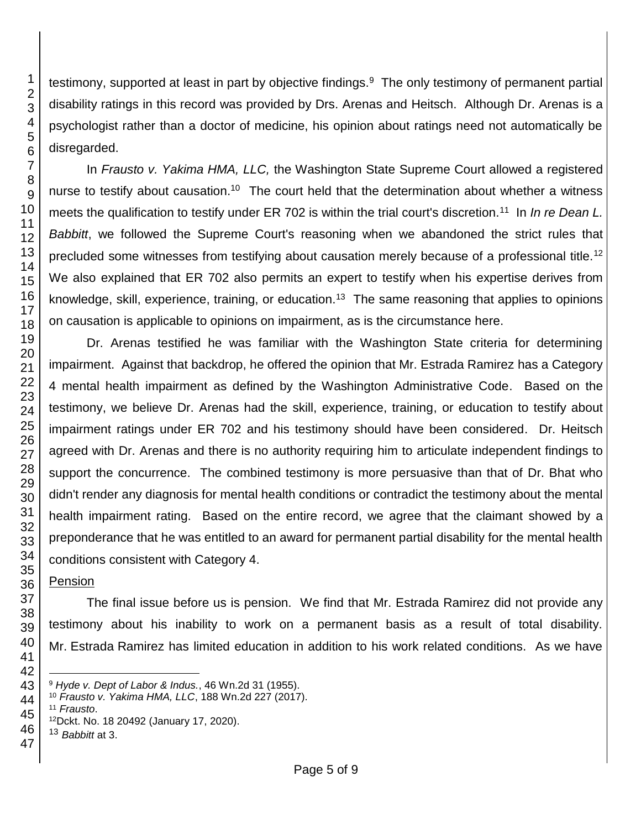testimony, supported at least in part by objective findings.<sup>9</sup> The only testimony of permanent partial disability ratings in this record was provided by Drs. Arenas and Heitsch. Although Dr. Arenas is a psychologist rather than a doctor of medicine, his opinion about ratings need not automatically be disregarded.

In *Frausto v. Yakima HMA, LLC,* the Washington State Supreme Court allowed a registered nurse to testify about causation.<sup>10</sup> The court held that the determination about whether a witness meets the qualification to testify under ER 702 is within the trial court's discretion.<sup>11</sup> In *In re Dean L. Babbitt*, we followed the Supreme Court's reasoning when we abandoned the strict rules that precluded some witnesses from testifying about causation merely because of a professional title.<sup>12</sup> We also explained that ER 702 also permits an expert to testify when his expertise derives from knowledge, skill, experience, training, or education.<sup>13</sup> The same reasoning that applies to opinions on causation is applicable to opinions on impairment, as is the circumstance here.

Dr. Arenas testified he was familiar with the Washington State criteria for determining impairment. Against that backdrop, he offered the opinion that Mr. Estrada Ramirez has a Category 4 mental health impairment as defined by the Washington Administrative Code. Based on the testimony, we believe Dr. Arenas had the skill, experience, training, or education to testify about impairment ratings under ER 702 and his testimony should have been considered. Dr. Heitsch agreed with Dr. Arenas and there is no authority requiring him to articulate independent findings to support the concurrence. The combined testimony is more persuasive than that of Dr. Bhat who didn't render any diagnosis for mental health conditions or contradict the testimony about the mental health impairment rating. Based on the entire record, we agree that the claimant showed by a preponderance that he was entitled to an award for permanent partial disability for the mental health conditions consistent with Category 4.

## Pension

The final issue before us is pension. We find that Mr. Estrada Ramirez did not provide any testimony about his inability to work on a permanent basis as a result of total disability. Mr. Estrada Ramirez has limited education in addition to his work related conditions. As we have

*Hyde v. Dept of Labor & Indus.*, 46 Wn.2d 31 (1955).

*Frausto v. Yakima HMA, LLC*, 188 Wn.2d 227 (2017).

*Frausto*.

Dckt. No. 18 20492 (January 17, 2020).

 *Babbitt* at 3.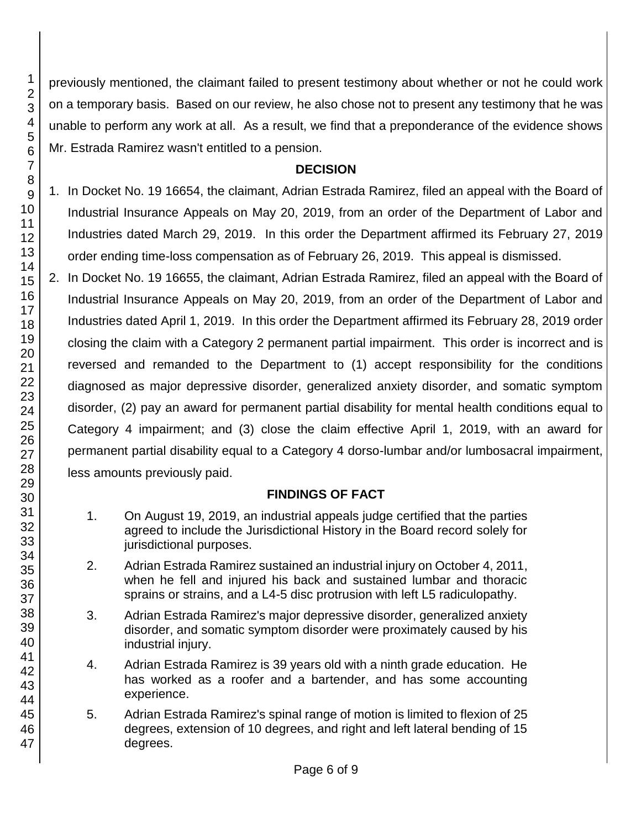previously mentioned, the claimant failed to present testimony about whether or not he could work on a temporary basis. Based on our review, he also chose not to present any testimony that he was unable to perform any work at all. As a result, we find that a preponderance of the evidence shows Mr. Estrada Ramirez wasn't entitled to a pension.

## **DECISION**

1. In Docket No. 19 16654, the claimant, Adrian Estrada Ramirez, filed an appeal with the Board of Industrial Insurance Appeals on May 20, 2019, from an order of the Department of Labor and Industries dated March 29, 2019. In this order the Department affirmed its February 27, 2019 order ending time-loss compensation as of February 26, 2019. This appeal is dismissed.

2. In Docket No. 19 16655, the claimant, Adrian Estrada Ramirez, filed an appeal with the Board of Industrial Insurance Appeals on May 20, 2019, from an order of the Department of Labor and Industries dated April 1, 2019. In this order the Department affirmed its February 28, 2019 order closing the claim with a Category 2 permanent partial impairment. This order is incorrect and is reversed and remanded to the Department to (1) accept responsibility for the conditions diagnosed as major depressive disorder, generalized anxiety disorder, and somatic symptom disorder, (2) pay an award for permanent partial disability for mental health conditions equal to Category 4 impairment; and (3) close the claim effective April 1, 2019, with an award for permanent partial disability equal to a Category 4 dorso-lumbar and/or lumbosacral impairment, less amounts previously paid.

## **FINDINGS OF FACT**

- 1. On August 19, 2019, an industrial appeals judge certified that the parties agreed to include the Jurisdictional History in the Board record solely for jurisdictional purposes.
- 2. Adrian Estrada Ramirez sustained an industrial injury on October 4, 2011, when he fell and injured his back and sustained lumbar and thoracic sprains or strains, and a L4-5 disc protrusion with left L5 radiculopathy.
- 3. Adrian Estrada Ramirez's major depressive disorder, generalized anxiety disorder, and somatic symptom disorder were proximately caused by his industrial injury.
- 4. Adrian Estrada Ramirez is 39 years old with a ninth grade education. He has worked as a roofer and a bartender, and has some accounting experience.
- 5. Adrian Estrada Ramirez's spinal range of motion is limited to flexion of 25 degrees, extension of 10 degrees, and right and left lateral bending of 15 degrees.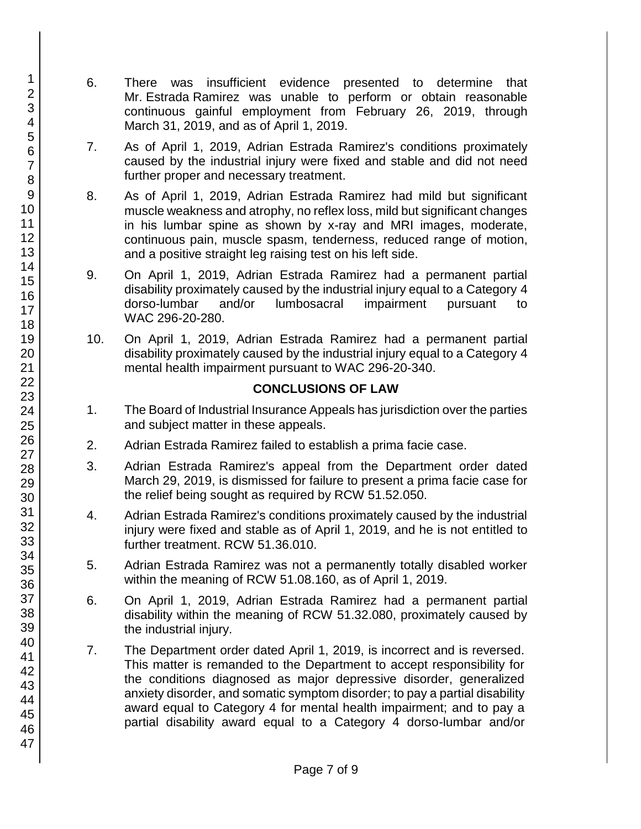- 6. There was insufficient evidence presented to determine that Mr. Estrada Ramirez was unable to perform or obtain reasonable continuous gainful employment from February 26, 2019, through March 31, 2019, and as of April 1, 2019.
- 7. As of April 1, 2019, Adrian Estrada Ramirez's conditions proximately caused by the industrial injury were fixed and stable and did not need further proper and necessary treatment.
- 8. As of April 1, 2019, Adrian Estrada Ramirez had mild but significant muscle weakness and atrophy, no reflex loss, mild but significant changes in his lumbar spine as shown by x-ray and MRI images, moderate, continuous pain, muscle spasm, tenderness, reduced range of motion, and a positive straight leg raising test on his left side.
- 9. On April 1, 2019, Adrian Estrada Ramirez had a permanent partial disability proximately caused by the industrial injury equal to a Category 4 dorso-lumbar and/or lumbosacral impairment pursuant to WAC 296-20-280.
- 10. On April 1, 2019, Adrian Estrada Ramirez had a permanent partial disability proximately caused by the industrial injury equal to a Category 4 mental health impairment pursuant to WAC 296-20-340.

## **CONCLUSIONS OF LAW**

- 1. The Board of Industrial Insurance Appeals has jurisdiction over the parties and subject matter in these appeals.
- 2. Adrian Estrada Ramirez failed to establish a prima facie case.
- 3. Adrian Estrada Ramirez's appeal from the Department order dated March 29, 2019, is dismissed for failure to present a prima facie case for the relief being sought as required by RCW 51.52.050.
- 4. Adrian Estrada Ramirez's conditions proximately caused by the industrial injury were fixed and stable as of April 1, 2019, and he is not entitled to further treatment. RCW 51.36.010.
- 5. Adrian Estrada Ramirez was not a permanently totally disabled worker within the meaning of RCW 51.08.160, as of April 1, 2019.
- 6. On April 1, 2019, Adrian Estrada Ramirez had a permanent partial disability within the meaning of RCW 51.32.080, proximately caused by the industrial injury.
- 7. The Department order dated April 1, 2019, is incorrect and is reversed. This matter is remanded to the Department to accept responsibility for the conditions diagnosed as major depressive disorder, generalized anxiety disorder, and somatic symptom disorder; to pay a partial disability award equal to Category 4 for mental health impairment; and to pay a partial disability award equal to a Category 4 dorso-lumbar and/or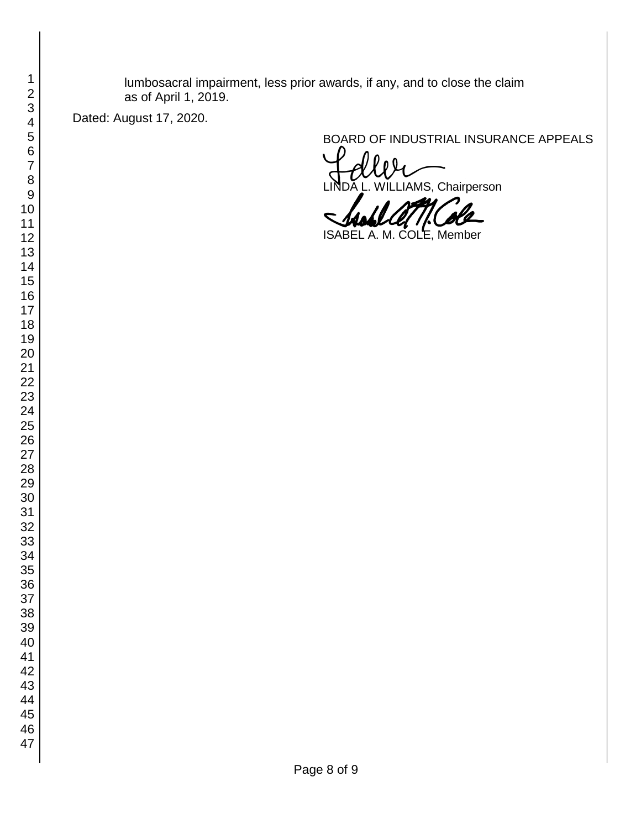lumbosacral impairment, less prior awards, if any, and to close the claim as of April 1, 2019.

Dated: August 17, 2020.

BOARD OF INDUSTRIAL INSURANCE APPEALS<br>
LINDA L. WILLIAMS, Chairperson

ISABEL A. M. COLE, Member